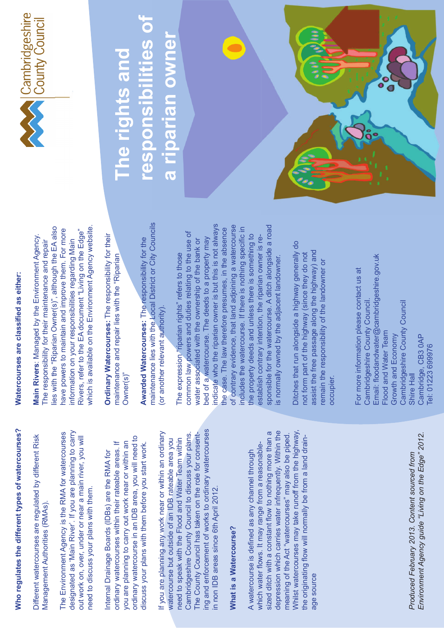# Who regulates the different types of watercourses? **Who regulates the different types of watercourses?**

Different watercourses are regulated by different Risk Different watercourses are regulated by different Risk Management Authorities (RMAs). Vlanagement Authorities (RMAs)

designated as 'Main River'. If you are planning to carry The Environment Agency is the RMA for watercourses The Environment Agency is the RMA for watercourses designated as 'Main River'. If you are planning to carry out work on, over, under or near a main river, you will out work on, over, under or near a main river, you will need to discuss your plans with them. need to discuss your plans with them.

ordinary watercourse in an IDB area, you will need to ordinary watercourse in an IDB area, you will need to ordinary watercourses within their rateable areas. If you are planning to carry out work near or within an you are planning to carry out work near or within an ordinary watercourses within their rateable areas. If discuss your plans with them before you start work. discuss your plans with them before you start work. nternal Drainage Boards (IDBs) are the RMA for Internal Drainage Boards (IDBs) are the RMA for

ing and enforcement of works to ordinary watercourses ng and enforcement of works to ordinary watercourses If you are planning any work near or within an ordinary Cambridgeshire County Council to discuss your plans. If you are planning any work near or within an ordinary The County Council has taken on the role for consent-Cambridgeshire County Council to discuss your plans. The County Council has taken on the role for consentneed to speak with the Flood and Water Team within watercourse but outside of an IDB rateable area you need to speak with the Flood and Water Team within watercourse but outside of an IDB rateable area you n non IDB areas since 6th April 2012. in non IDB areas since 6th April 2012.

## **What is a Watercourse? What is a Watercourse?**

Whilst watercourses may take runoff from the highway, which water flows. It may range from a reasonable-<br>sized ditch with a constant flow to nothing more than a depression which carries water infrequently. Within the sized ditch with a constant flow to nothing more than a depression which carries water infrequently. Within the meaning of the Act "watercourses" may also be piped. Whilst watercourses may take runoff from the highway, meaning of the Act "watercourses" may also be piped. the originating flow will normally be from a land drainthe originating flow will normally be from a land drain-<br>age source which water flows. It may range from a reasonable-A watercourse is defined as any channel through A watercourse is defined as any channel through age source

Produced February 2013. Content sourced from<br>Environment Agency guide "Living on the Edge" 2012. *Environment Agency guide "Living on the Edge" 2012. Produced February 2013. Content sourced from*

# Watercourses are classified as either: **Watercourses are classified as either:**

lies with the "Riparian Owner(s)", although the EA also ies with the "Riparian Owner(s)", although the EA also which is available on the Environment Agency website. which is available on the Environment Agency website. have powers to maintain and improve them. For more Rivers, refer to the EA document "Living on the Edge" have powers to maintain and improve them. For more Rivers, refer to the EA document "Living on the Edge" **Main Rivers**: Managed by the Environment Agency. Main Rivers: Managed by the Environment Agency. information on your responsibilities regarding Main information on your responsibilities regarding Main The responsibility for their maintenance and repair The responsibility for their maintenance and repair

**Drdinary Watercourses: The responsibility for their** Ordinary Watercourses: The responsibility for their maintenance and repair lies with the "Riparian maintenance and repair lies with the "Riparian Owner(s)"

maintenance lies with the Local District or City Councils maintenance lies with the Local District or City Councils Awarded Watercourses: The responsibility for the **Awarded Watercourses: The responsibility for the** (or another relevant authority). (or another relevant authority)

indicate who the riparian owner is but this is not always ndicate who the riparian owner is but this is not always of contrary evidence, that land adjoining a watercourse sponsible for the watercourse. A ditch alongside a road of contrary evidence, that land adjoining a watercourse includes the watercourse. If there is nothing specific in sponsible for the watercourse. A ditch alongside a road the case. The law therefore presumes, in the absence includes the watercourse. If there is nothing specific in the case. The law therefore presumes, in the absence common law powers and duties relating to the use of common law powers and duties relating to the use of the property deeds and unless there is something to the property deeds and unless there is something to establish contrary intention, the riparian owner is rebed of a watercourse. The deeds to a property may establish contrary intention, the riparian owner is rewater associated with the ownership of the bank or bed of a watercourse. The deeds to a property may water associated with the ownership of the bank or The expression "riparian rights" refers to those The expression "riparian rights" refers to those is normally owned by the adjacent landowner. is normally owned by the adjacent landowner

Ditches that run alongside a highway generally do Ditches that run alongside a highway generally do assist the free passage along the highway) and assist the free passage along the highway) and not form part of the highway (since they do not not form part of the highway (since they do not emain the responsibility of the landowner or remain the responsibility of the landowner or occupier.

Email: floodandwater@cambridgeshire.gov.uk Email: floodandwater@cambridgeshire.gov.uk For more information please contact us at For more information please contact us at Cambridgeshire County Council. Cambridgeshire County Council. Cambridgeshire County Council Cambridgeshire County Council Flood and Water Team Flood and Water Team Growth and Economy Shire Hall<br>Cambridge, CB3 0AP Growth and Economy Cambridge, CB3 0AP Tel: 01223 699976 Tel: 01223 699976



#### **responsibilities of**  responsibilities of riparian owner **a riparian owner** a riparian owner **The rights and**  The rights and 9MHUSIONS